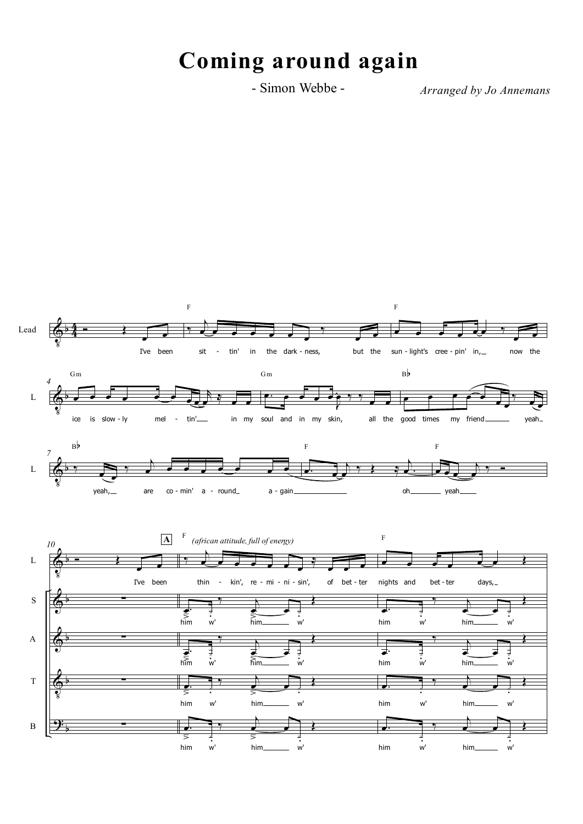# **Coming around again**

- Simon Webbe - *Arranged by Jo Annemans*

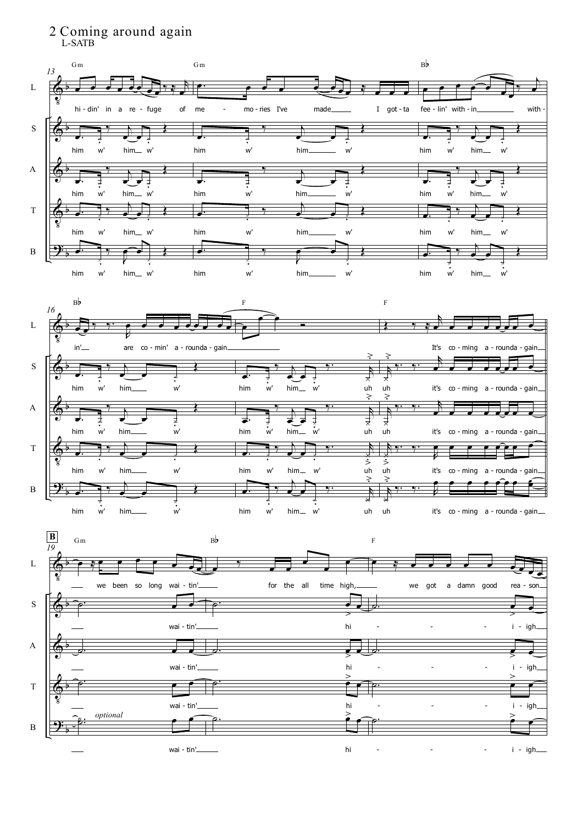### 2 Coming around again L-SATB

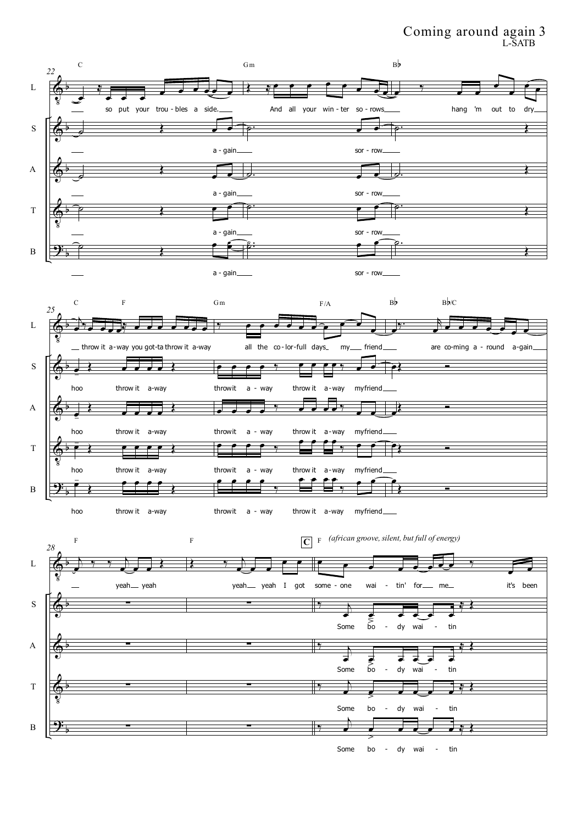### Coming around again 3 L-SATB

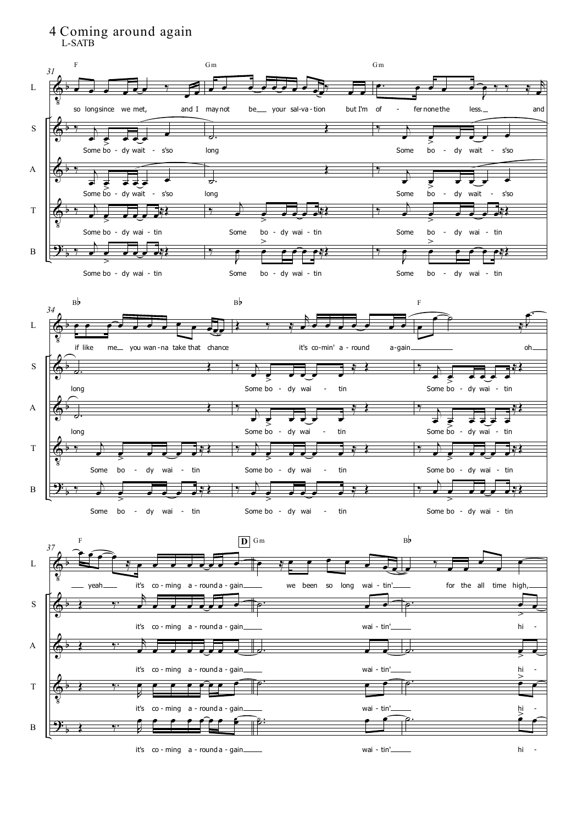## 4 Coming around again

L-SATB



hi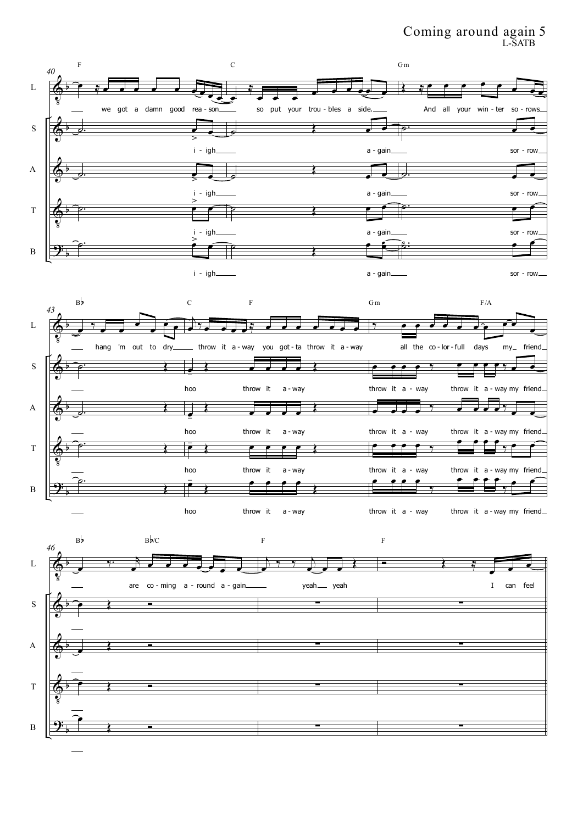### Coming around again 5 L-SATB

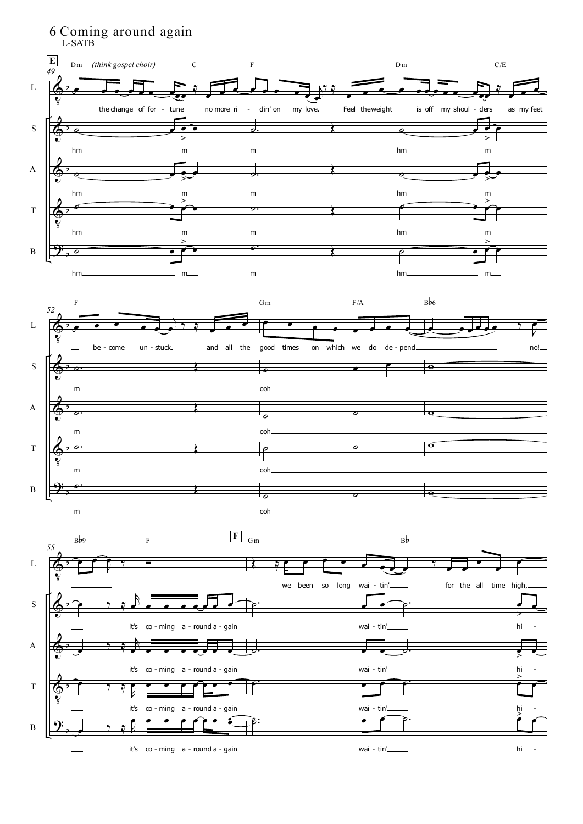

hi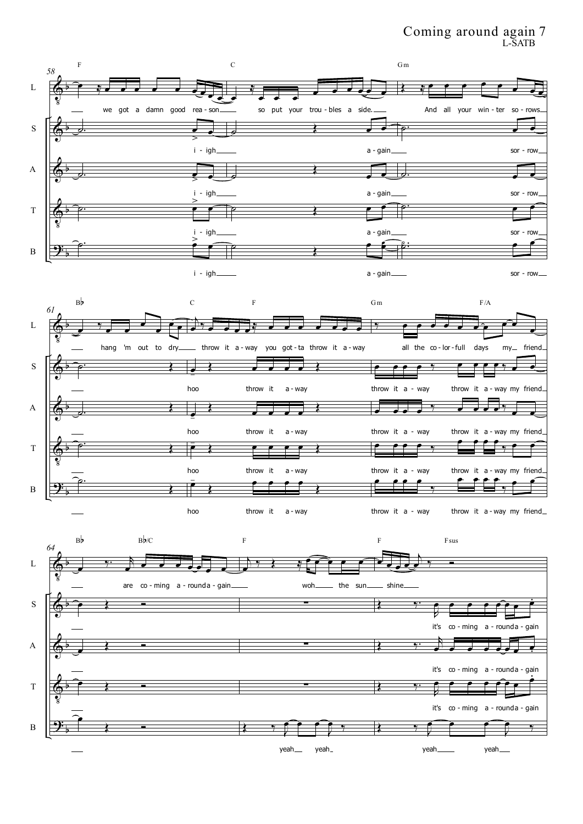### Coming around again 7 L-SATB